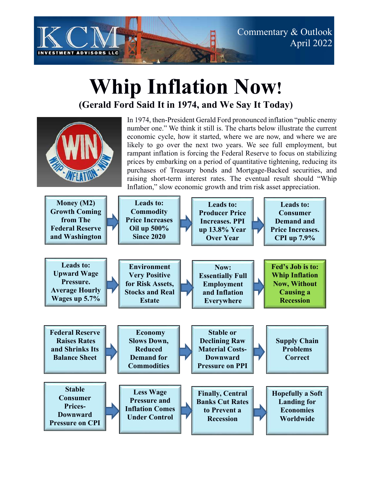

## **Whip Inflation Now! (Gerald Ford Said It in 1974, and We Say It Today)**

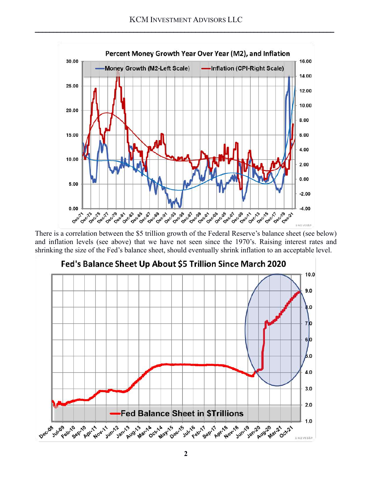

There is a correlation between the \$5 trillion growth of the Federal Reserve's balance sheet (see below) and inflation levels (see above) that we have not seen since the 1970's. Raising interest rates and shrinking the size of the Fed's balance sheet, should eventually shrink inflation to an acceptable level.

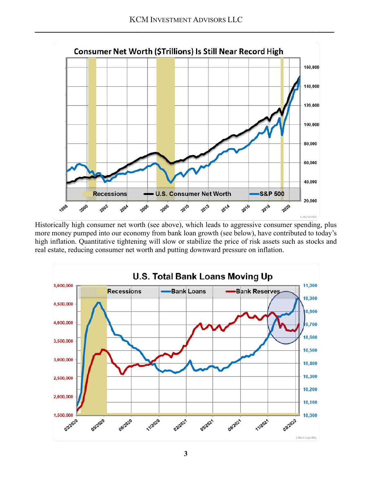

Historically high consumer net worth (see above), which leads to aggressive consumer spending, plus more money pumped into our economy from bank loan growth (see below), have contributed to today's high inflation. Quantitative tightening will slow or stabilize the price of risk assets such as stocks and real estate, reducing consumer net worth and putting downward pressure on inflation.

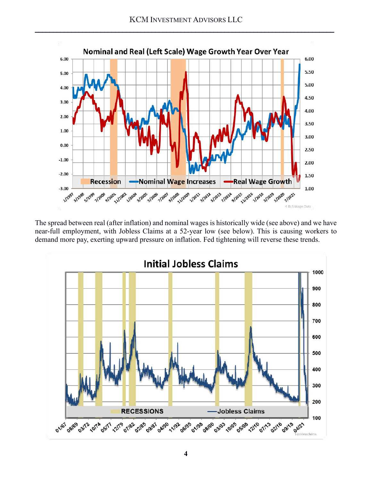

The spread between real (after inflation) and nominal wages is historically wide (see above) and we have near-full employment, with Jobless Claims at a 52-year low (see below). This is causing workers to demand more pay, exerting upward pressure on inflation. Fed tightening will reverse these trends.

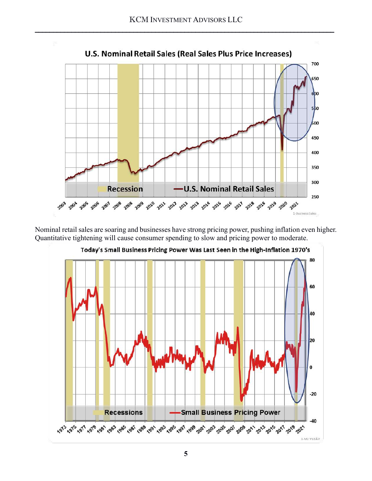

Nominal retail sales are soaring and businesses have strong pricing power, pushing inflation even higher. Quantitative tightening will cause consumer spending to slow and pricing power to moderate.

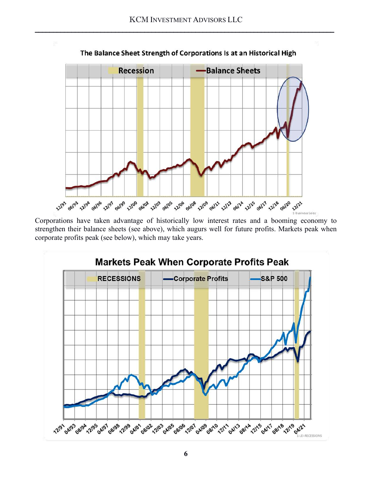

Corporations have taken advantage of historically low interest rates and a booming economy to strengthen their balance sheets (see above), which augurs well for future profits. Markets peak when corporate profits peak (see below), which may take years.

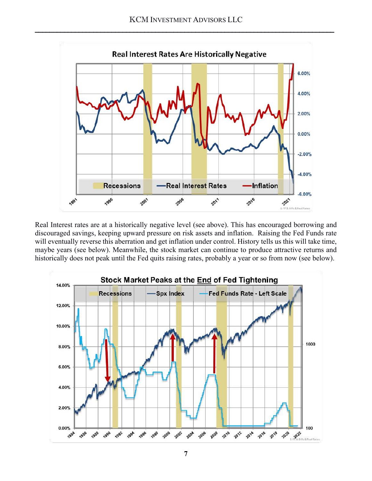

Real Interest rates are at a historically negative level (see above). This has encouraged borrowing and discouraged savings, keeping upward pressure on risk assets and inflation. Raising the Fed Funds rate will eventually reverse this aberration and get inflation under control. History tells us this will take time, maybe years (see below). Meanwhile, the stock market can continue to produce attractive returns and historically does not peak until the Fed quits raising rates, probably a year or so from now (see below).